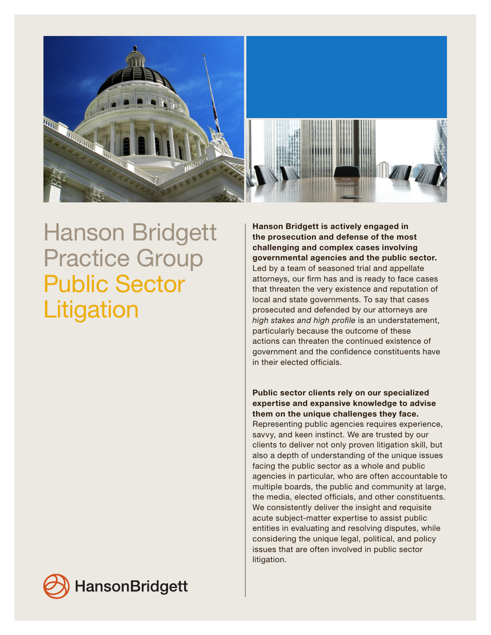

## Hanson Bridgett Practice Group Public Sector **Litigation**

Hanson Bridgett is actively engaged in the prosecution and defense of the most challenging and complex cases involving governmental agencies and the public sector. Led by a team of seasoned trial and appellate attorneys, our firm has and is ready to face cases that threaten the very existence and reputation of local and state governments. To say that cases prosecuted and defended by our attorneys are *high stakes and high profile* is an understatement, particularly because the outcome of these actions can threaten the continued existence of government and the confidence constituents have in their elected officials.

Public sector clients rely on our specialized expertise and expansive knowledge to advise them on the unique challenges they face. Representing public agencies requires experience, savvy, and keen instinct. We are trusted by our clients to deliver not only proven litigation skill, but also a depth of understanding of the unique issues facing the public sector as a whole and public agencies in particular, who are often accountable to multiple boards, the public and community at large, the media, elected officials, and other constituents. We consistently deliver the insight and requisite acute subject-matter expertise to assist public entities in evaluating and resolving disputes, while considering the unique legal, political, and policy issues that are often involved in public sector litigation.